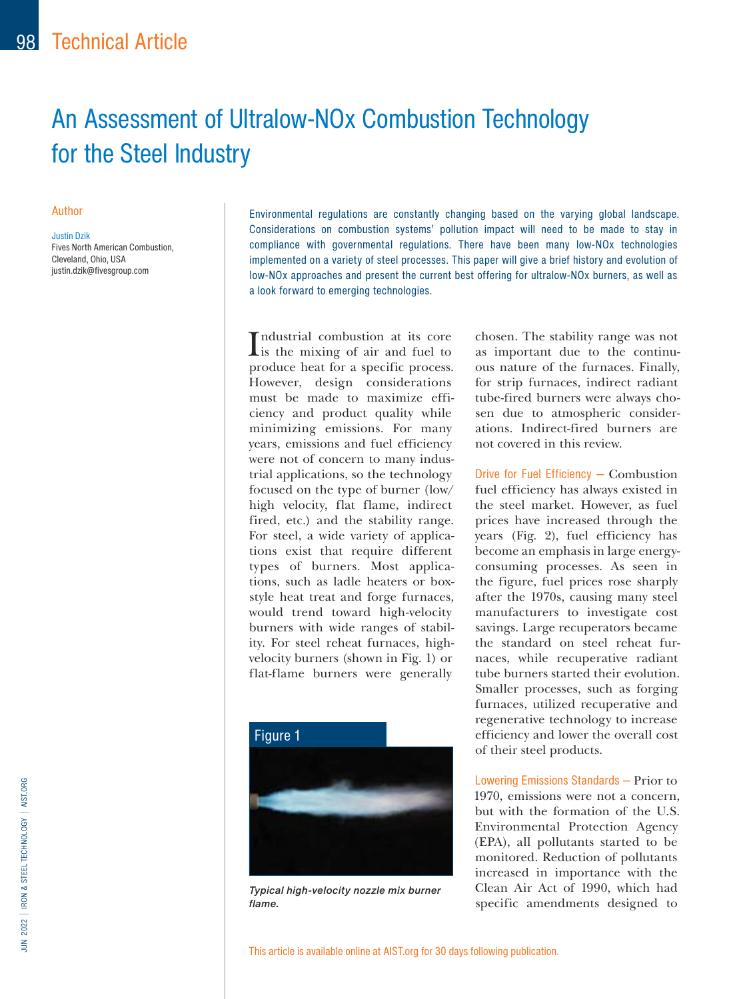# An Assessment of Ultralow-NOx Combustion Technology for the Steel Industry

#### Author

Justin Dzik Fives North American Combustion, Cleveland, Ohio, USA justin.dzik@fivesgroup.com

Environmental regulations are constantly changing based on the varying global landscape. Considerations on combustion systems' pollution impact will need to be made to stay in compliance with governmental regulations. There have been many low-NOx technologies implemented on a variety of steel processes. This paper will give a brief history and evolution of low-NOx approaches and present the current best offering for ultralow-NOx burners, as well as a look forward to emerging technologies.

Industrial combustion at its core<br>is the mixing of air and fuel to is the mixing of air and fuel to produce heat for a specific process. However, design considerations must be made to maximize efficiency and product quality while minimizing emissions. For many years, emissions and fuel efficiency were not of concern to many industrial applications, so the technology focused on the type of burner (low/ high velocity, flat flame, indirect fired, etc.) and the stability range. For steel, a wide variety of applications exist that require different types of burners. Most applications, such as ladle heaters or boxstyle heat treat and forge furnaces, would trend toward high-velocity burners with wide ranges of stability. For steel reheat furnaces, highvelocity burners (shown in Fig. 1) or flat-flame burners were generally



Typical high-velocity nozzle mix burner flame.

chosen. The stability range was not as important due to the continuous nature of the furnaces. Finally, for strip furnaces, indirect radiant tube-fired burners were always chosen due to atmospheric considerations. Indirect-fired burners are not covered in this review.

Drive for Fuel Efficiency — Combustion fuel efficiency has always existed in the steel market. However, as fuel prices have increased through the years (Fig. 2), fuel efficiency has become an emphasis in large energyconsuming processes. As seen in the figure, fuel prices rose sharply after the 1970s, causing many steel manufacturers to investigate cost savings. Large recuperators became the standard on steel reheat furnaces, while recuperative radiant tube burners started their evolution. Smaller processes, such as forging furnaces, utilized recuperative and regenerative technology to increase efficiency and lower the overall cost of their steel products.

Lowering Emissions Standards — Prior to 1970, emissions were not a concern, but with the formation of the U.S. Environmental Protection Agency (EPA), all pollutants started to be monitored. Reduction of pollutants increased in importance with the Clean Air Act of 1990, which had specific amendments designed to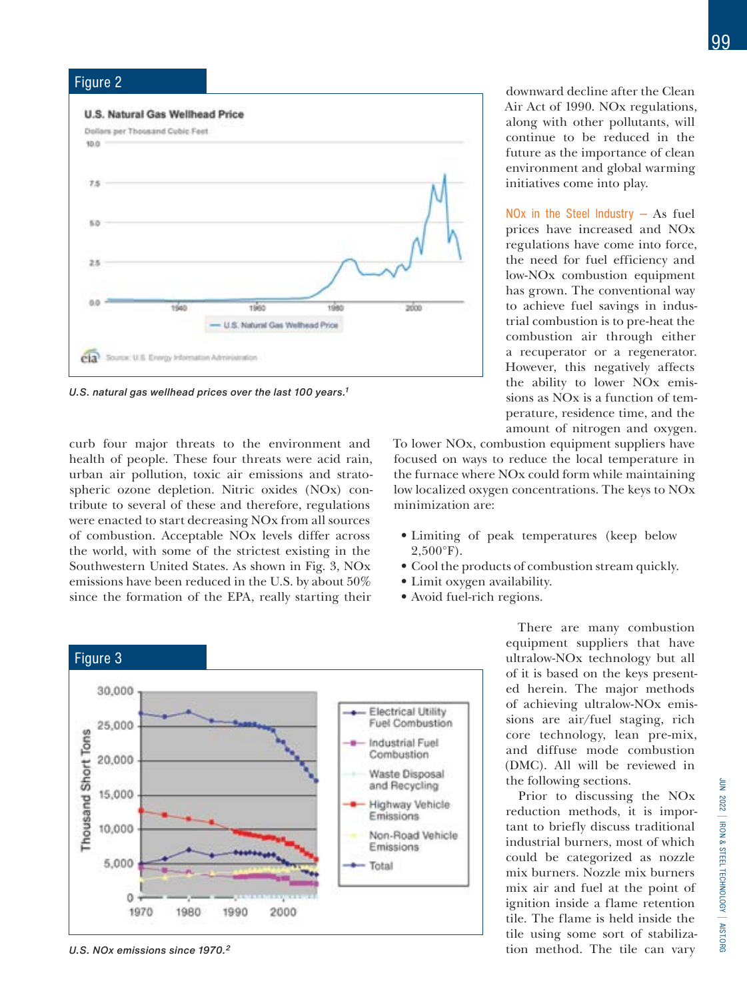

U.S. natural gas wellhead prices over the last 100 years.<sup>1</sup>

curb four major threats to the environment and health of people. These four threats were acid rain, urban air pollution, toxic air emissions and stratospheric ozone depletion. Nitric oxides (NOx) contribute to several of these and therefore, regulations were enacted to start decreasing NOx from all sources of combustion. Acceptable NOx levels differ across the world, with some of the strictest existing in the Southwestern United States. As shown in Fig. 3, NOx emissions have been reduced in the U.S. by about 50% since the formation of the EPA, really starting their



NOx in the Steel Industry  $-$  As fuel prices have increased and NOx regulations have come into force, the need for fuel efficiency and low-NOx combustion equipment has grown. The conventional way to achieve fuel savings in industrial combustion is to pre-heat the combustion air through either a recuperator or a regenerator. However, this negatively affects the ability to lower NOx emissions as NOx is a function of temperature, residence time, and the amount of nitrogen and oxygen.

To lower NOx, combustion equipment suppliers have focused on ways to reduce the local temperature in the furnace where NOx could form while maintaining low localized oxygen concentrations. The keys to NOx minimization are:

- Limiting of peak temperatures (keep below  $2,500^{\circ}$ F).
- Cool the products of combustion stream quickly.
- Limit oxygen availability.
- Avoid fuel-rich regions.



U.S. NOx emissions since 1970.<sup>2</sup>

There are many combustion equipment suppliers that have ultralow-NOx technology but all of it is based on the keys presented herein. The major methods of achieving ultralow-NOx emissions are air/fuel staging, rich core technology, lean pre-mix, and diffuse mode combustion (DMC). All will be reviewed in the following sections.

Prior to discussing the NOx reduction methods, it is important to briefly discuss traditional industrial burners, most of which could be categorized as nozzle mix burners. Nozzle mix burners mix air and fuel at the point of ignition inside a flame retention tile. The flame is held inside the tile using some sort of stabilization method. The tile can vary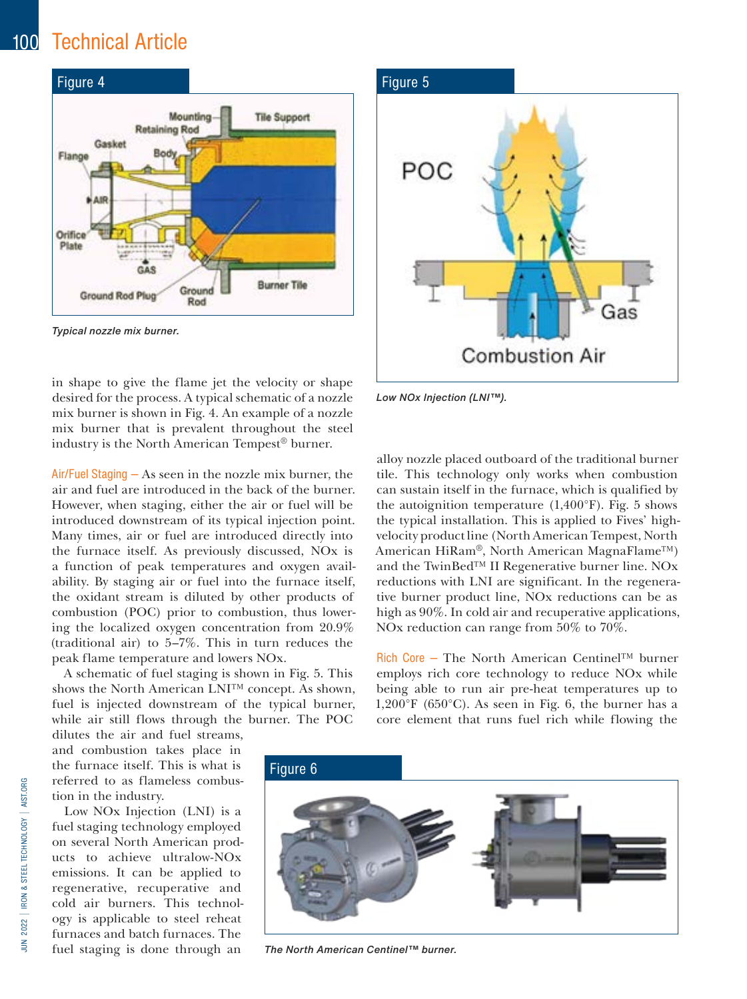## 100 Technical Article



Typical nozzle mix burner.

in shape to give the flame jet the velocity or shape desired for the process. A typical schematic of a nozzle mix burner is shown in Fig. 4. An example of a nozzle mix burner that is prevalent throughout the steel industry is the North American Tempest® burner.

Air/Fuel Staging — As seen in the nozzle mix burner, the air and fuel are introduced in the back of the burner. However, when staging, either the air or fuel will be introduced downstream of its typical injection point. Many times, air or fuel are introduced directly into the furnace itself. As previously discussed, NOx is a function of peak temperatures and oxygen availability. By staging air or fuel into the furnace itself, the oxidant stream is diluted by other products of combustion (POC) prior to combustion, thus lowering the localized oxygen concentration from 20.9% (traditional air) to 5–7%. This in turn reduces the peak flame temperature and lowers NOx.

A schematic of fuel staging is shown in Fig. 5. This shows the North American LNI™ concept. As shown, fuel is injected downstream of the typical burner, while air still flows through the burner. The POC

dilutes the air and fuel streams, and combustion takes place in the furnace itself. This is what is referred to as flameless combustion in the industry.

Low NOx Injection (LNI) is a fuel staging technology employed on several North American products to achieve ultralow-NOx emissions. It can be applied to regenerative, recuperative and cold air burners. This technology is applicable to steel reheat furnaces and batch furnaces. The fuel staging is done through an



Low NOx Injection (LNI™).

alloy nozzle placed outboard of the traditional burner tile. This technology only works when combustion can sustain itself in the furnace, which is qualified by the autoignition temperature  $(1,400^{\circ}F)$ . Fig. 5 shows the typical installation. This is applied to Fives' highvelocity product line (North American Tempest, North American HiRam®, North American MagnaFlame™) and the TwinBed™ II Regenerative burner line. NOx reductions with LNI are significant. In the regenerative burner product line, NOx reductions can be as high as 90%. In cold air and recuperative applications, NOx reduction can range from 50% to 70%.

Rich Core — The North American Centinel™ burner employs rich core technology to reduce NOx while being able to run air pre-heat temperatures up to 1,200°F (650°C). As seen in Fig. 6, the burner has a core element that runs fuel rich while flowing the



The North American Centinel™ burner.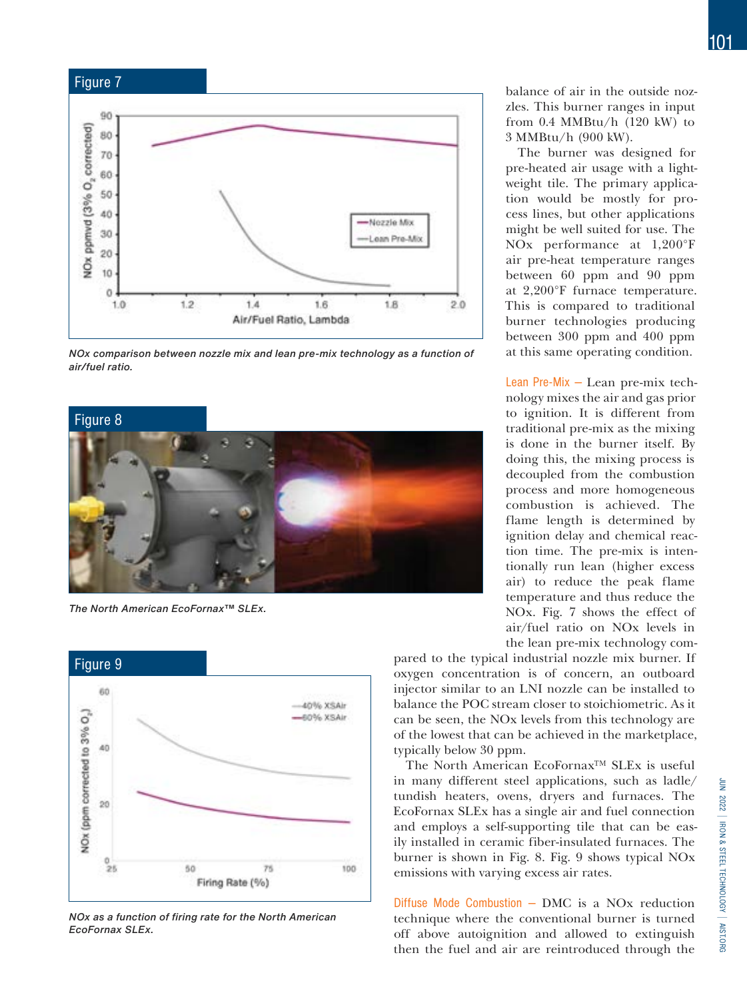

NOx comparison between nozzle mix and lean pre-mix technology as a function of air/fuel ratio.



The North American EcoFornax™ SLEx.



NOx as a function of firing rate for the North American EcoFornax SLEx.

balance of air in the outside nozzles. This burner ranges in input from 0.4 MMBtu/h (120 kW) to 3 MMBtu/h (900 kW).

The burner was designed for pre-heated air usage with a lightweight tile. The primary application would be mostly for process lines, but other applications might be well suited for use. The NOx performance at 1,200°F air pre-heat temperature ranges between 60 ppm and 90 ppm at 2,200°F furnace temperature. This is compared to traditional burner technologies producing between 300 ppm and 400 ppm at this same operating condition.

Lean Pre-Mix — Lean pre-mix technology mixes the air and gas prior to ignition. It is different from traditional pre-mix as the mixing is done in the burner itself. By doing this, the mixing process is decoupled from the combustion process and more homogeneous combustion is achieved. The flame length is determined by ignition delay and chemical reaction time. The pre-mix is intentionally run lean (higher excess air) to reduce the peak flame temperature and thus reduce the NOx. Fig. 7 shows the effect of air/fuel ratio on NOx levels in the lean pre-mix technology com-

pared to the typical industrial nozzle mix burner. If oxygen concentration is of concern, an outboard injector similar to an LNI nozzle can be installed to balance the POC stream closer to stoichiometric. As it can be seen, the NOx levels from this technology are of the lowest that can be achieved in the marketplace, typically below 30 ppm.

The North American EcoFornax™ SLEx is useful in many different steel applications, such as ladle/ tundish heaters, ovens, dryers and furnaces. The EcoFornax SLEx has a single air and fuel connection and employs a self-supporting tile that can be easily installed in ceramic fiber-insulated furnaces. The burner is shown in Fig. 8. Fig. 9 shows typical NOx emissions with varying excess air rates.

Diffuse Mode Combustion  $-$  DMC is a NOx reduction technique where the conventional burner is turned off above autoignition and allowed to extinguish then the fuel and air are reintroduced through the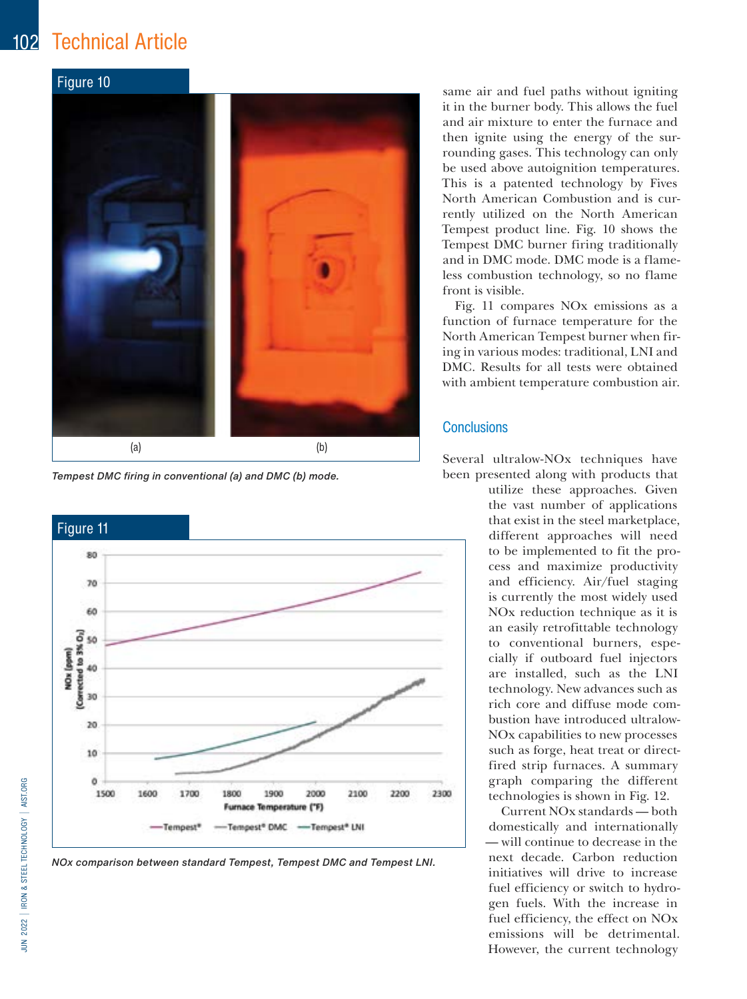## 102 Technical Article



Tempest DMC firing in conventional (a) and DMC (b) mode.



NOx comparison between standard Tempest, Tempest DMC and Tempest LNI.

same air and fuel paths without igniting it in the burner body. This allows the fuel and air mixture to enter the furnace and then ignite using the energy of the surrounding gases. This technology can only be used above autoignition temperatures. This is a patented technology by Fives North American Combustion and is currently utilized on the North American Tempest product line. Fig. 10 shows the Tempest DMC burner firing traditionally and in DMC mode. DMC mode is a flameless combustion technology, so no flame front is visible.

Fig. 11 compares NOx emissions as a function of furnace temperature for the North American Tempest burner when firing in various modes: traditional, LNI and DMC. Results for all tests were obtained with ambient temperature combustion air.

#### **Conclusions**

Several ultralow-NOx techniques have been presented along with products that

> utilize these approaches. Given the vast number of applications that exist in the steel marketplace, different approaches will need to be implemented to fit the process and maximize productivity and efficiency. Air/fuel staging is currently the most widely used NOx reduction technique as it is an easily retrofittable technology to conventional burners, especially if outboard fuel injectors are installed, such as the LNI technology. New advances such as rich core and diffuse mode combustion have introduced ultralow-NOx capabilities to new processes such as forge, heat treat or directfired strip furnaces. A summary graph comparing the different technologies is shown in Fig. 12.

> Current NOx standards — both domestically and internationally — will continue to decrease in the next decade. Carbon reduction initiatives will drive to increase fuel efficiency or switch to hydrogen fuels. With the increase in fuel efficiency, the effect on NOx emissions will be detrimental. However, the current technology